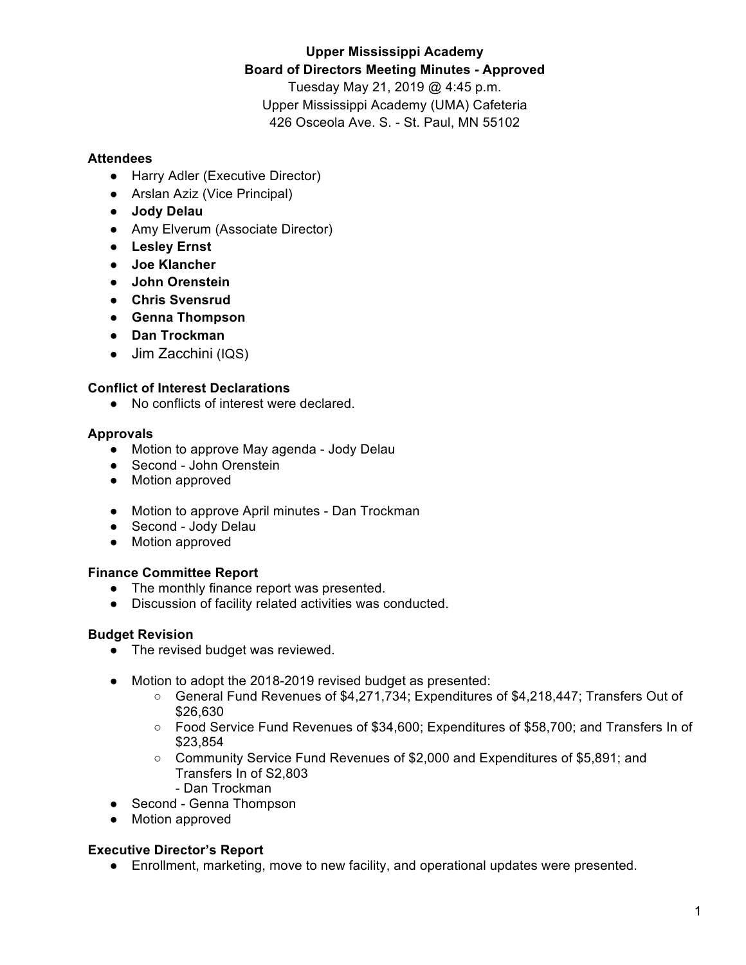# **Upper Mississippi Academy Board of Directors Meeting Minutes - Approved** Tuesday May 21, 2019 @ 4:45 p.m.

Upper Mississippi Academy (UMA) Cafeteria 426 Osceola Ave. S. - St. Paul, MN 55102

## **Attendees**

- Harry Adler (Executive Director)
- Arslan Aziz (Vice Principal)
- **Jody Delau**
- Amy Elverum (Associate Director)
- **Lesley Ernst**
- **Joe Klancher**
- **John Orenstein**
- **Chris Svensrud**
- **Genna Thompson**
- **Dan Trockman**
- Jim Zacchini (IQS)

## **Conflict of Interest Declarations**

● No conflicts of interest were declared.

### **Approvals**

- Motion to approve May agenda Jody Delau
- Second John Orenstein
- Motion approved
- Motion to approve April minutes Dan Trockman
- Second Jody Delau
- Motion approved

## **Finance Committee Report**

- The monthly finance report was presented.
- Discussion of facility related activities was conducted.

## **Budget Revision**

- The revised budget was reviewed.
- Motion to adopt the 2018-2019 revised budget as presented:
	- General Fund Revenues of \$4,271,734; Expenditures of \$4,218,447; Transfers Out of \$26,630
	- Food Service Fund Revenues of \$34,600; Expenditures of \$58,700; and Transfers In of \$23,854
	- Community Service Fund Revenues of \$2,000 and Expenditures of \$5,891; and Transfers In of S2,803
		- Dan Trockman
- Second Genna Thompson
- Motion approved

#### **Executive Director's Report**

● Enrollment, marketing, move to new facility, and operational updates were presented.